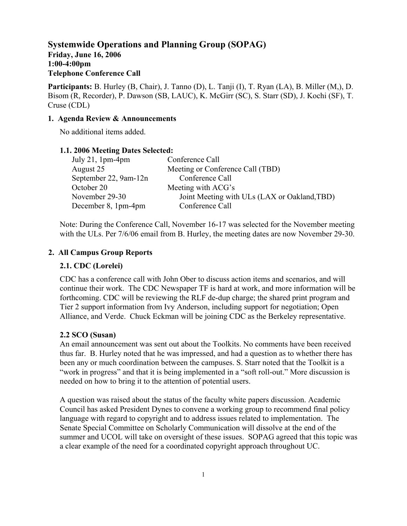**Systemwide Operations and Planning Group (SOPAG) Friday, June 16, 2006 1:00-4:00pm Telephone Conference Call** 

**Participants:** B. Hurley (B, Chair), J. Tanno (D), L. Tanji (I), T. Ryan (LA), B. Miller (M,), D. Bisom (R, Recorder), P. Dawson (SB, LAUC), K. McGirr (SC), S. Starr (SD), J. Kochi (SF), T. Cruse (CDL)

### **1. Agenda Review & Announcements**

No additional items added.

#### **1.1. 2006 Meeting Dates Selected:**

| July 21, $1pm-4pm$    | Conference Call                              |
|-----------------------|----------------------------------------------|
| August 25             | Meeting or Conference Call (TBD)             |
| September 22, 9am-12n | Conference Call                              |
| October 20            | Meeting with ACG's                           |
| November 29-30        | Joint Meeting with ULs (LAX or Oakland, TBD) |
| December 8, 1pm-4pm   | Conference Call                              |
|                       |                                              |

Note: During the Conference Call, November 16-17 was selected for the November meeting with the ULs. Per  $7/6/06$  email from B. Hurley, the meeting dates are now November 29-30.

#### **2. All Campus Group Reports**

#### **2.1. CDC (Lorelei)**

CDC has a conference call with John Ober to discuss action items and scenarios, and will continue their work. The CDC Newspaper TF is hard at work, and more information will be forthcoming. CDC will be reviewing the RLF de-dup charge; the shared print program and Tier 2 support information from Ivy Anderson, including support for negotiation; Open Alliance, and Verde. Chuck Eckman will be joining CDC as the Berkeley representative.

#### **2.2 SCO (Susan)**

An email announcement was sent out about the Toolkits. No comments have been received thus far. B. Hurley noted that he was impressed, and had a question as to whether there has been any or much coordination between the campuses. S. Starr noted that the Toolkit is a "work in progress" and that it is being implemented in a "soft roll-out." More discussion is needed on how to bring it to the attention of potential users.

A question was raised about the status of the faculty white papers discussion. Academic Council has asked President Dynes to convene a working group to recommend final policy language with regard to copyright and to address issues related to implementation. The Senate Special Committee on Scholarly Communication will dissolve at the end of the summer and UCOL will take on oversight of these issues. SOPAG agreed that this topic was a clear example of the need for a coordinated copyright approach throughout UC.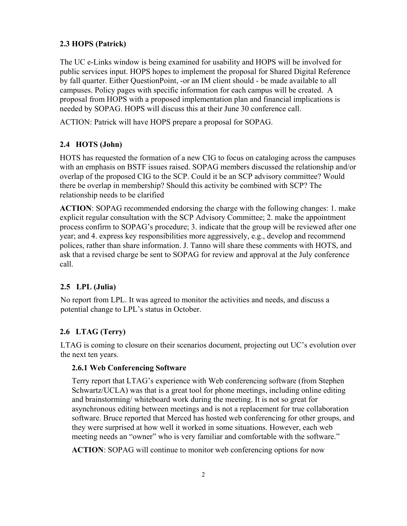# **2.3 HOPS (Patrick)**

The UC e-Links window is being examined for usability and HOPS will be involved for public services input. HOPS hopes to implement the proposal for Shared Digital Reference by fall quarter. Either QuestionPoint, -or an IM client should - be made available to all campuses. Policy pages with specific information for each campus will be created. A proposal from HOPS with a proposed implementation plan and financial implications is needed by SOPAG. HOPS will discuss this at their June 30 conference call.

ACTION: Patrick will have HOPS prepare a proposal for SOPAG.

# **2.4 HOTS (John)**

HOTS has requested the formation of a new CIG to focus on cataloging across the campuses with an emphasis on BSTF issues raised. SOPAG members discussed the relationship and/or overlap of the proposed CIG to the SCP. Could it be an SCP advisory committee? Would there be overlap in membership? Should this activity be combined with SCP? The relationship needs to be clarified

**ACTION**: SOPAG recommended endorsing the charge with the following changes: 1. make explicit regular consultation with the SCP Advisory Committee; 2. make the appointment process confirm to SOPAG's procedure; 3. indicate that the group will be reviewed after one year; and 4. express key responsibilities more aggressively, e.g., develop and recommend polices, rather than share information. J. Tanno will share these comments with HOTS, and ask that a revised charge be sent to SOPAG for review and approval at the July conference call.

# **2.5 LPL (Julia)**

No report from LPL. It was agreed to monitor the activities and needs, and discuss a potential change to LPL's status in October.

# **2.6 LTAG (Terry)**

LTAG is coming to closure on their scenarios document, projecting out UC's evolution over the next ten years.

#### **2.6.1 Web Conferencing Software**

Terry report that LTAG's experience with Web conferencing software (from Stephen Schwartz/UCLA) was that is a great tool for phone meetings, including online editing and brainstorming/ whiteboard work during the meeting. It is not so great for asynchronous editing between meetings and is not a replacement for true collaboration software. Bruce reported that Merced has hosted web conferencing for other groups, and they were surprised at how well it worked in some situations. However, each web meeting needs an "owner" who is very familiar and comfortable with the software."

 **ACTION**: SOPAG will continue to monitor web conferencing options for now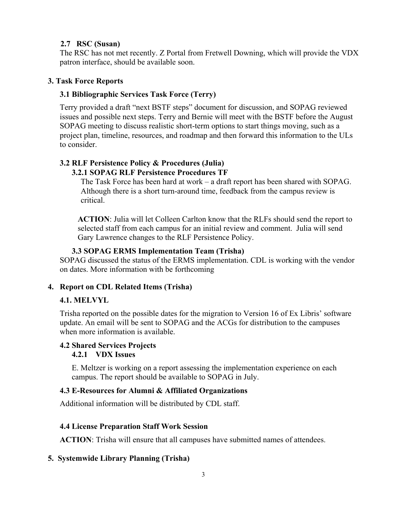### **2.7 RSC (Susan)**

 The RSC has not met recently. Z Portal from Fretwell Downing, which will provide the VDX patron interface, should be available soon.

## **3. Task Force Reports**

### **3.1 Bibliographic Services Task Force (Terry)**

Terry provided a draft "next BSTF steps" document for discussion, and SOPAG reviewed issues and possible next steps. Terry and Bernie will meet with the BSTF before the August SOPAG meeting to discuss realistic short-term options to start things moving, such as a project plan, timeline, resources, and roadmap and then forward this information to the ULs to consider.

# **3.2 RLF Persistence Policy & Procedures (Julia)**

### **3.2.1 SOPAG RLF Persistence Procedures TF**

The Task Force has been hard at work – a draft report has been shared with SOPAG. Although there is a short turn-around time, feedback from the campus review is critical.

**ACTION**: Julia will let Colleen Carlton know that the RLFs should send the report to selected staff from each campus for an initial review and comment. Julia will send Gary Lawrence changes to the RLF Persistence Policy.

### **3.3 SOPAG ERMS Implementation Team (Trisha)**

SOPAG discussed the status of the ERMS implementation. CDL is working with the vendor on dates. More information with be forthcoming

## **4. Report on CDL Related Items (Trisha)**

## **4.1. MELVYL**

Trisha reported on the possible dates for the migration to Version 16 of Ex Libris' software update. An email will be sent to SOPAG and the ACGs for distribution to the campuses when more information is available.

## **4.2 Shared Services Projects**

## **4.2.1 VDX Issues**

E. Meltzer is working on a report assessing the implementation experience on each campus. The report should be available to SOPAG in July.

## **4.3 E-Resources for Alumni & Affiliated Organizations**

Additional information will be distributed by CDL staff.

## **4.4 License Preparation Staff Work Session**

**ACTION**: Trisha will ensure that all campuses have submitted names of attendees.

## **5. Systemwide Library Planning (Trisha)**